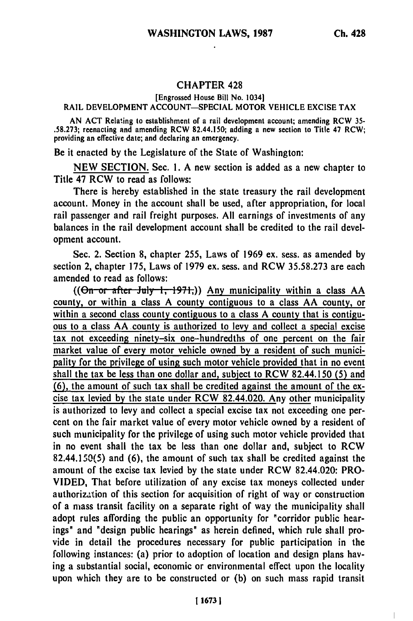$\overline{\phantom{a}}$ 

## **CHAPTER 428**

## [Engrossed House Bill No. 1034]

## RAIL DEVELOPMENT ACCOUNT-SPECIAL MOTOR VEHICLE EXCISE TAX

AN ACT Relating to establishment of a rail development account; amending RCW **35-** .58.273; reenacting and amending RCW 82.44.150; adding a new section to Title 47 RCW; providing an effective date; and declaring an emergency.

Be it enacted **by** the Legislature of the State of Washington:

NEW SECTION. Sec. **1.** A new section is added as a new chapter to Title 47 RCW to read as follows:

There is hereby established in the state treasury the rail development account. Money in the account shall be used, after appropriation, for local rail passenger and rail freight purposes. All earnings of investments of any balances in the rail development account shall be credited to the rail development account.

Sec. 2. Section **8,** chapter 255, Laws of 1969 ex. sess. as amended by section 2, chapter 175, Laws of 1979 ex. sess. and RCW 35.58.273 are each amended to read as follows:

 $((\Theta n$ <sup>-</sup>or-after July 1, 1971,)) Any municipality within a class AA county, or within a class A county contiguous to a class AA county, or within a second class county contiguous to a class A county that is contiguous to a class AA county is authorized to levy and collect a special excise tax not exceeding ninety-six one-hundredths of one percent on the fair market value of every motor vehicle owned **by** a resident of such municipality for the privilege of using such motor vehicle provided that in no event shall the tax be less than one dollar and, subject to RCW 82.44.150 **(5)** and **(6),** the amount of such tax shall be credited against the amount of the excise tax levied **by** the state under RCW 82.44.020. Any other municipality is authorized to levy and collect a special excise tax not exceeding one percent on the fair market value of every motor vehicle owned **by** a resident of such municipality for the privilege of using such motor vehicle provided that in no event shall the tax be less than one dollar and, subject to RCW 82.44.150(5) and **(6),** the amount of such tax shall be credited against the amount of the excise tax levied **by** the state under RCW 82.44.020: PRO-**VIDED,** That before utilization of any excise tax moneys collected under authorization of this section for acquisition of right of way or construction of a mass transit facility on a separate right of way the municipality shall adopt rules affording the public an opportunity for "corridor public hearings" and "design public hearings" as herein defined, which rule shall provide in detail the procedures necessary for public participation in the following instances: (a) prior to adoption of location and design plans having a substantial social, economic or environmental effect upon the locality upon which they are to be constructed or **(b)** on such mass rapid transit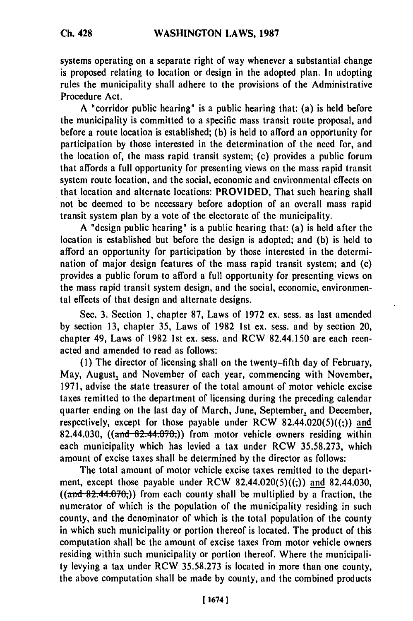systems operating on a separate right of way whenever a substantial change is proposed relating to location or design in the adopted plan. In adopting rules the municipality shall adhere to the provisions of the Administrative Procedure Act.

**A** "corridor public hearing" is a public hearing that: (a) is held before the municipality is committed to a specific mass transit route proposal, and before a route location is established; **(b)** is held to afford an opportunity for participation **by** those interested in the determination of the need for, and the location of, the mass rapid transit system; (c) provides a public forum that affords a full opportunity for presenting views on the mass rapid transit system route location, and the social, economic and environmental effects on that location and alternate locations: PROVIDED, That such hearing shall not be deemed to **be** necessary before adoption of an overall mass rapid transit system plan **by** a vote of the electorate of the municipality.

A "design public hearing" is a public hearing that: (a) is held after the location is established but before the design is adopted; and **(b)** is held to afford an opportunity for participation **by** those interested in the determination of major design features of the mass rapid transit system; and (c) provides a public forum to afford a full opportunity for presenting views on the mass rapid transit system design, and the social, economic, environmental effects of that design and alternate designs.

Sec. **3.** Section **1,** chapter **87,** Laws of **1972** ex. sess. as last amended **by** section **13,** chapter **35,** Laws of **1982 1st** ex. sess. and **by** section 20, chapter 49, Laws of **1982 1st** ex. sess. and RCW 82.44.150 are each reenacted and amended to read as follows:

**(1)** The director of licensing shall on the twenty-fifth day of February, May, August, and November of each year, commencing with November, **1971,** advise the state treasurer of the total amount of motor vehicle excise taxes remitted to the department of licensing during the preceding calendar quarter ending on the last day of March, June, September, and December, respectively, except for those payable under RCW 82.44.020(5)((;)) **and** 82.44.030,  $((\text{and } 82.44.070))$  from motor vehicle owners residing within each municipality which has levied a tax under RCW **35.58.273,** which amount of excise taxes shall be determined **by** the director as follows:

The total amount of motor vehicle excise taxes remitted to the department, except those payable under RCW  $82.44.020(5)((.)$  and  $82.44.030$ , **((and** 82.44.706)) from each county shall be multiplied **by** a fraction, the numerator of which is the population of the municipality residing in such county, and the denominator of which is the total population of the county in which such municipality or portion thereof is located. The product of this computation shall be the amount of excise taxes from motor vehicle owners residing within such municipality or portion thereof. Where the municipality levying a tax under RCW **35.58.273** is located in more than one county, the above computation shall be made **by** county, and the combined products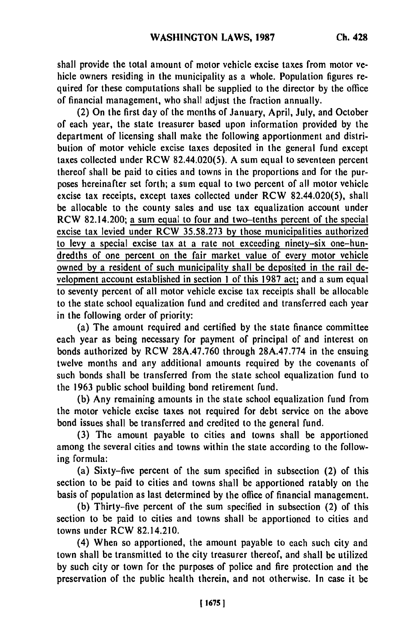shall provide the total amount of motor vehicle excise taxes from motor vehicle owners residing in the municipality as a whole. Population figures required for these computations shall be supplied to the director **by** the office of financial management, who shall adjust the fraction annually.

(2) On the first day of the months of January, April, July, and October of each year, the state treasurer based upon information provided **by** the department of licensing shall make the following apportionment and distribution of motor vehicle excise taxes deposited in the general fund except taxes collected under RCW 82.44.020(5). A sum equal to seventeen percent thereof shall be paid to cities and towns in the proportions and for the purposes hereinafter set forth; a sum equal to two percent of all motor vehicle excise tax receipts, except taxes collected under RCW 82.44.020(5), shall be allocable to the county sales and use tax equalization account under RCW 82.14.200; a sum equal to four and two-tenths percent of the special excise tax levied under RCW 35.58.273 **by** those municipalities authorized to levy a special excise tax at a rate not exceeding ninety-six one-hundredths of one percent on the fair market value of every motor vehicle owned **by** a resident of such municipality shall be deposited in the rail development account established in section **1** of this **1987** act; and a sum equal to seventy percent of all motor vehicle excise tax receipts shall be allocablc to the state school equalization fund and credited and transferred each year in the following order of priority:

(a) The amount required and certified **by** the state finance committee each year as being necessary for payment of principal of and interest on bonds authorized **by** RCW 28A.47.760 through 28A.47.774 in the ensuing twelve months and any additional amounts required **by** the covenants of such bonds shall be transferred from the state school equalization fund to the **1963** public school building bond retirement fund.

**(b)** Any remaining amounts in the state school equalization fund from the motor vehicle excise taxes not required for debt service on the above bond issues shall be transferred and credited to the general fund.

**(3)** The amount payable to cities and towns shall be apportioned among the several cities and towns within the state according to the following formula:

(a) Sixty-five percent of the sum specified in subsection (2) of this section to be paid to cities and towns shall **be** apportioned ratably on the basis of population as last determined **by** the office of financial management.

**(b)** Thirty-five percent of the sum specified in subsection (2) of this section to be paid to cities and towns shall be apportioned to cities and towns under RCW 82.14.210.

(4) When so apportioned, the amount payable to each such city and town shall be transmitted to the city treasurer thereof, and shall be utilized **by** such city or town for the purposes of police and fire protection and the preservation of the public health therein, and not otherwise. In case it **be**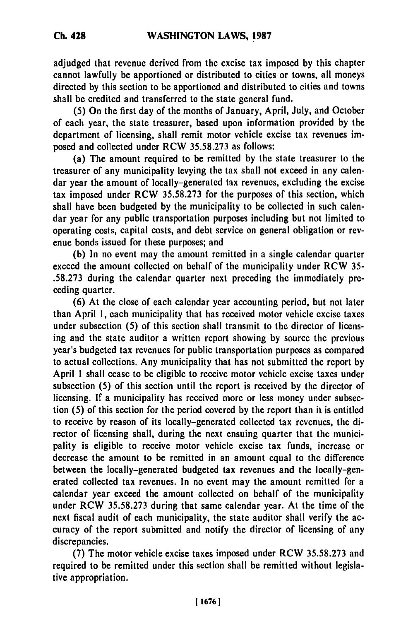adjudged that revenue derived from the excise tax imposed **by** this chapter cannot lawfully be apportioned or distributed to cities or towns, all moneys directed **by** this section to be apportioned and distributed to cities and towns shall be credited and transferred to the state general fund.

**(5)** On the first day of the months of January, April, July, and October of each year, the state treasurer, based upon information provided **by** the department of licensing, shall remit motor vehicle excise tax revenues imposed and collected under RCW **35.58.273** as follows:

(a) The amount required to be remitted **by** the state treasurer to the treasurer of any municipality levying the tax shall not exceed in any calendar year the amount of locally-generated tax revenues, excluding the excise tax imposed under RCW **35.58.273** for the purposes of this section, which shall have been budgeted **by** the municipality to be collected in such calendar year for any public transportation purposes including but not limited to operating costs, capital costs, and debt service on general obligation or revenue bonds issued for these purposes; and

**(b)** In no event may the amount remitted in a single calendar quarter exceed the amount collected on behalf of the municipality under RCW **35- .58.273** during the calendar quarter next preceding the immediately preceding quarter.

**(6)** At the close of each calendar year accounting period, but not later than April **1,** each municipality that has received motor vehicle excise taxes under subsection **(5)** of this section shall transmit to the director of licensing and the state auditor a written report showing **by** source the previous year's budgeted tax revenues for public transportation purposes as compared to actual collections. Any municipality that has not submitted the report **by** April **1** shall cease to be eligible to receive motor vehicle excise taxes under subsection **(5)** of this section until the report is received **by** the director of licensing. **If** a municipality has received more or less money under subsection **(5)** of this section for the period covered **by** the report than it is entitled to receive **by** reason of its locally-generated collected tax revenues, the director of licensing shall, during the next ensuing quarter that the municipality is eligible to receive motor vehicle excise tax funds, increase or decrease the amount to be remitted in an amount equal to the difference between the locally-generated budgeted tax revenues and the locally-generated collected tax revenues. In no event may the amount remitted for a calendar year exceed the amount collected on behalf of the municipality under RCW **35.58.273** during that same calendar year. At the time of the next fiscal audit of each municipality, the state auditor shall verify the accuracy of the report submitted and notify the director of licensing of any discrepancies.

**(7)** The motor vehicle excise taxes imposed under RCW **35.58.273** and required to be remitted under this section shall be remitted without legislative appropriation.

**116761**